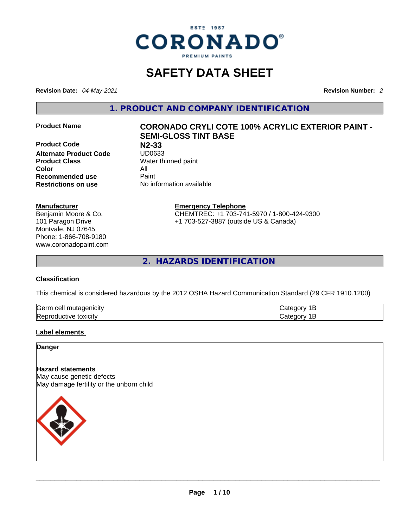

# **SAFETY DATA SHEET**

**Revision Date:** *04-May-2021* **Revision Number:** *2*

**1. PRODUCT AND COMPANY IDENTIFICATION** 

**Product Code N2-33 Alternate Product Code**<br>**Product Class Color** All **Recommended use All Property Recommended use**<br>**Restrictions on use** 

**Manufacturer** Benjamin Moore & Co. 101 Paragon Drive Montvale, NJ 07645 Phone: 1-866-708-9180 www.coronadopaint.com

### **Product Name CORONADO CRYLI COTE 100% ACRYLIC EXTERIOR PAINT - SEMI-GLOSS TINT BASE**

**Water thinned paint Restrictions on use** No information available

> **Emergency Telephone** CHEMTREC: +1 703-741-5970 / 1-800-424-9300 +1 703-527-3887 (outside US & Canada)

**2. HAZARDS IDENTIFICATION** 

#### **Classification**

This chemical is considered hazardous by the 2012 OSHA Hazard Communication Standard (29 CFR 1910.1200)

| ∽<br>$\sim$ utooonioitu<br>lGerm<br>cell<br>:nicitv<br>. питаоет | . .    |
|------------------------------------------------------------------|--------|
| Repr                                                             | - --   |
| toxicity                                                         | ו זו י |
| roquctive                                                        | ,      |

#### **Label elements**

**Danger** 

#### **Hazard statements**

May cause genetic defects May damage fertility or the unborn child

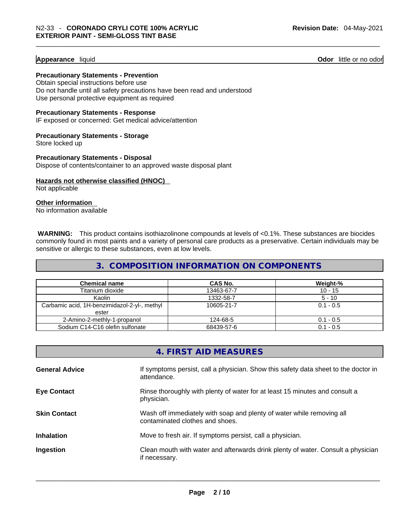#### **Appearance** liquid **Odor 11** and **Odor 11** and **Odor 11** and **Odor 11** and **Odor** 11 and **Odor** 11 and **Odor** 11 and **Odor** 11 and **Odor** 11 and **Odor** 11 and **Odor** 11 and **Odor** 11 and **Odor** 11 and **Odor** 11 and **Odor**

**Precautionary Statements - Prevention** Obtain special instructions before use

Do not handle until all safety precautions have been read and understood Use personal protective equipment as required

**Precautionary Statements - Response**

IF exposed or concerned: Get medical advice/attention

**Precautionary Statements - Storage** Store locked up

**Precautionary Statements - Disposal** Dispose of contents/container to an approved waste disposal plant

**Hazards not otherwise classified (HNOC)**  Not applicable

**Other information** 

No information available

**WARNING:** This product contains isothiazolinone compounds at levels of <0.1%. These substances are biocides commonly found in most paints and a variety of personal care products as a preservative. Certain individuals may be sensitive or allergic to these substances, even at low levels.

#### **3. COMPOSITION INFORMATION ON COMPONENTS**

| <b>Chemical name</b>                         | CAS No.    | Weight-%    |
|----------------------------------------------|------------|-------------|
| Titanium dioxide                             | 13463-67-7 | $10 - 15$   |
| Kaolin                                       | 1332-58-7  | $5 - 10$    |
| Carbamic acid, 1H-benzimidazol-2-yl-, methyl | 10605-21-7 | $0.1 - 0.5$ |
| ester                                        |            |             |
| 2-Amino-2-methly-1-propanol                  | 124-68-5   | $0.1 - 0.5$ |
| Sodium C14-C16 olefin sulfonate              | 68439-57-6 | $0.1 - 0.5$ |

| If symptoms persist, call a physician. Show this safety data sheet to the doctor in<br><b>General Advice</b><br>attendance.<br>Rinse thoroughly with plenty of water for at least 15 minutes and consult a<br><b>Eye Contact</b><br>physician. |
|------------------------------------------------------------------------------------------------------------------------------------------------------------------------------------------------------------------------------------------------|
|                                                                                                                                                                                                                                                |
|                                                                                                                                                                                                                                                |
| <b>Skin Contact</b><br>Wash off immediately with soap and plenty of water while removing all<br>contaminated clothes and shoes.                                                                                                                |
| Move to fresh air. If symptoms persist, call a physician.<br><b>Inhalation</b>                                                                                                                                                                 |
| Clean mouth with water and afterwards drink plenty of water. Consult a physician<br>Ingestion<br>if necessary.                                                                                                                                 |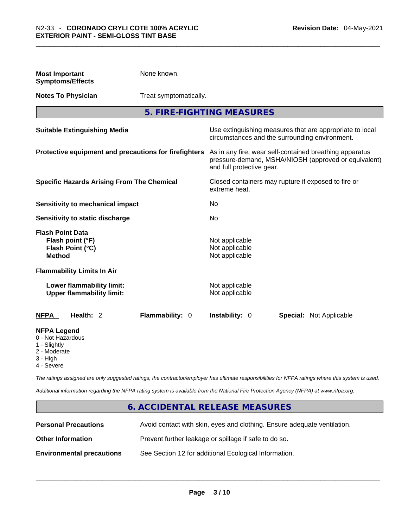| <b>Most Important</b><br><b>Symptoms/Effects</b>                                           | None known.                                           |                                                                                                                                              |  |  |  |
|--------------------------------------------------------------------------------------------|-------------------------------------------------------|----------------------------------------------------------------------------------------------------------------------------------------------|--|--|--|
| <b>Notes To Physician</b>                                                                  |                                                       | Treat symptomatically.                                                                                                                       |  |  |  |
|                                                                                            |                                                       | 5. FIRE-FIGHTING MEASURES                                                                                                                    |  |  |  |
| <b>Suitable Extinguishing Media</b>                                                        |                                                       | Use extinguishing measures that are appropriate to local<br>circumstances and the surrounding environment.                                   |  |  |  |
|                                                                                            | Protective equipment and precautions for firefighters | As in any fire, wear self-contained breathing apparatus<br>pressure-demand, MSHA/NIOSH (approved or equivalent)<br>and full protective gear. |  |  |  |
|                                                                                            | <b>Specific Hazards Arising From The Chemical</b>     | Closed containers may rupture if exposed to fire or<br>extreme heat.                                                                         |  |  |  |
| Sensitivity to mechanical impact                                                           |                                                       | No                                                                                                                                           |  |  |  |
| Sensitivity to static discharge                                                            |                                                       | No                                                                                                                                           |  |  |  |
| <b>Flash Point Data</b><br>Flash point (°F)<br>Flash Point (°C)<br><b>Method</b>           |                                                       | Not applicable<br>Not applicable<br>Not applicable                                                                                           |  |  |  |
| <b>Flammability Limits In Air</b>                                                          |                                                       |                                                                                                                                              |  |  |  |
| Lower flammability limit:<br><b>Upper flammability limit:</b>                              |                                                       | Not applicable<br>Not applicable                                                                                                             |  |  |  |
| <b>NFPA</b><br>Health: 2                                                                   | Flammability: 0                                       | Instability: 0<br><b>Special: Not Applicable</b>                                                                                             |  |  |  |
| <b>NFPA Legend</b><br>0 - Not Hazardous<br>1 - Slightly<br>2 - Moderate<br>$2 \quad 11.75$ |                                                       |                                                                                                                                              |  |  |  |

3 - High

4 - Severe

*The ratings assigned are only suggested ratings, the contractor/employer has ultimate responsibilities for NFPA ratings where this system is used.* 

*Additional information regarding the NFPA rating system is available from the National Fire Protection Agency (NFPA) at www.nfpa.org.* 

#### **6. ACCIDENTAL RELEASE MEASURES**

| <b>Personal Precautions</b>      | Avoid contact with skin, eyes and clothing. Ensure adequate ventilation. |
|----------------------------------|--------------------------------------------------------------------------|
| <b>Other Information</b>         | Prevent further leakage or spillage if safe to do so.                    |
| <b>Environmental precautions</b> | See Section 12 for additional Ecological Information.                    |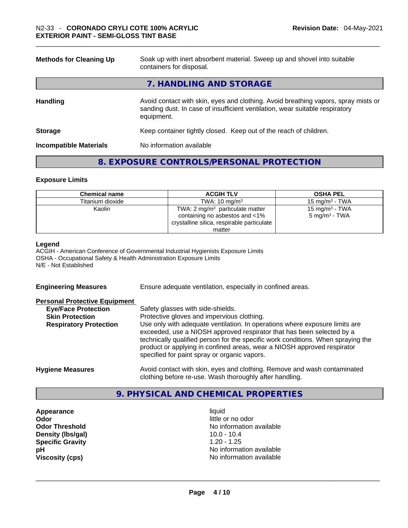| <b>Methods for Cleaning Up</b> | Soak up with inert absorbent material. Sweep up and shovel into suitable<br>containers for disposal.                                                                             |  |  |
|--------------------------------|----------------------------------------------------------------------------------------------------------------------------------------------------------------------------------|--|--|
|                                | 7. HANDLING AND STORAGE                                                                                                                                                          |  |  |
| <b>Handling</b>                | Avoid contact with skin, eyes and clothing. Avoid breathing vapors, spray mists or<br>sanding dust. In case of insufficient ventilation, wear suitable respiratory<br>equipment. |  |  |
| <b>Storage</b>                 | Keep container tightly closed. Keep out of the reach of children.                                                                                                                |  |  |
| <b>Incompatible Materials</b>  | No information available                                                                                                                                                         |  |  |

#### **8. EXPOSURE CONTROLS/PERSONAL PROTECTION**

#### **Exposure Limits**

| <b>Chemical name</b> | <b>ACGIH TLV</b>                                                                                                  | <b>OSHA PEL</b>                                        |
|----------------------|-------------------------------------------------------------------------------------------------------------------|--------------------------------------------------------|
| Titanium dioxide     | TWA: $10 \text{ mg/m}^3$                                                                                          | $15 \text{ ma/m}^3$ - TWA                              |
| Kaolin               | TWA: 2 $mg/m3$ particulate matter<br>containing no asbestos and <1%<br>crystalline silica, respirable particulate | 15 mg/m <sup>3</sup> - TWA<br>$5 \text{ mg/m}^3$ - TWA |
|                      | matter                                                                                                            |                                                        |

#### **Legend**

ACGIH - American Conference of Governmental Industrial Hygienists Exposure Limits OSHA - Occupational Safety & Health Administration Exposure Limits N/E - Not Established

**Engineering Measures** Ensure adequate ventilation, especially in confined areas.

#### **Personal Protective Equipment**

| <b>Eye/Face Protection</b>    | Safety glasses with side-shields.                                                                                                                                                                                                                                                                                                                                   |
|-------------------------------|---------------------------------------------------------------------------------------------------------------------------------------------------------------------------------------------------------------------------------------------------------------------------------------------------------------------------------------------------------------------|
| <b>Skin Protection</b>        | Protective gloves and impervious clothing.                                                                                                                                                                                                                                                                                                                          |
| <b>Respiratory Protection</b> | Use only with adequate ventilation. In operations where exposure limits are<br>exceeded, use a NIOSH approved respirator that has been selected by a<br>technically qualified person for the specific work conditions. When spraying the<br>product or applying in confined areas, wear a NIOSH approved respirator<br>specified for paint spray or organic vapors. |
| <b>Hygiene Measures</b>       | Avoid contact with skin, eyes and clothing. Remove and wash contaminated                                                                                                                                                                                                                                                                                            |

clothing before re-use. Wash thoroughly after handling.

#### **9. PHYSICAL AND CHEMICAL PROPERTIES**

**Appearance** liquid **Odor**<br> **Odor Threshold**<br> **Odor Threshold**<br> **CODOR**<br> **CODOR**<br> **CODOR**<br> **CODOR**<br> **CODOR**<br> **CODOR**<br> **CODOR**<br> **CODOR**<br> **CODOR Density** (Ibs/gal) **Specific Gravity** 1.20 - 1.25

No information available<br>10.0 - 10.4 **pH** No information available **Viscosity (cps)** No information available \_\_\_\_\_\_\_\_\_\_\_\_\_\_\_\_\_\_\_\_\_\_\_\_\_\_\_\_\_\_\_\_\_\_\_\_\_\_\_\_\_\_\_\_\_\_\_\_\_\_\_\_\_\_\_\_\_\_\_\_\_\_\_\_\_\_\_\_\_\_\_\_\_\_\_\_\_\_\_\_\_\_\_\_\_\_\_\_\_\_\_\_\_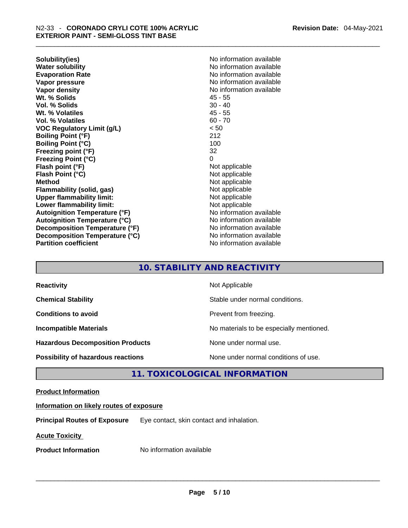**Solubility(ies)** No information available **Water solubility 19 and 19 and 19 and 19 and 19 and 19 and 19 and 19 and 19 and 19 and 19 and 19 and 19 and 19 and 19 and 19 and 19 and 19 and 19 and 19 and 19 and 19 and 19 and 19 and 19 and 19 and 19 and 19 and 19 and 1 Vapor pressure**  No information available **Vapor pressure No information available Vapor density No information available No information available Wt. % Solids** 45 - 55 **Vol. % Solids Wt. % Volatiles** 45 - 55 **Vol. % Volatiles** 60 - 70 **VOC Regulatory Limit (g/L)** < 50 **Boiling Point (°F)** 212 **Boiling Point (°C) Freezing point (°F)** 32 **Freezing Point (°C)** 0 **Flash point (°F)** Not applicable **Flash Point (°C)** Not applicable **Method**<br> **Plammability (solid, gas)**<br> **Plammability (solid, gas)**<br> **Not** applicable **Flammability** (solid, gas) **Upper flammability limit:** Not applicable **Lower flammability limit:**<br> **Autoignition Temperature (°F)**<br>
Mo information available **Autoignition Temperature (°F) Autoignition Temperature (°C)** No information available **Decomposition Temperature (°F)** No information available **Decomposition Temperature (°C)** No information available **Partition coefficient** No information available

**Evaporation Rate** No information available

#### **10. STABILITY AND REACTIVITY**

| <b>Reactivity</b>                         | Not Applicable                           |
|-------------------------------------------|------------------------------------------|
| <b>Chemical Stability</b>                 | Stable under normal conditions.          |
| <b>Conditions to avoid</b>                | Prevent from freezing.                   |
| <b>Incompatible Materials</b>             | No materials to be especially mentioned. |
| <b>Hazardous Decomposition Products</b>   | None under normal use.                   |
| <b>Possibility of hazardous reactions</b> | None under normal conditions of use.     |

#### **11. TOXICOLOGICAL INFORMATION**

#### **Product Information**

#### **Information on likely routes of exposure**

**Principal Routes of Exposure** Eye contact, skin contact and inhalation.

**Acute Toxicity** 

**Product Information** Mo information available **and the set of the set of the set of the set of the set of the set of the set of the set of the set of the set of the set of the set of the set of the set of the set of the s**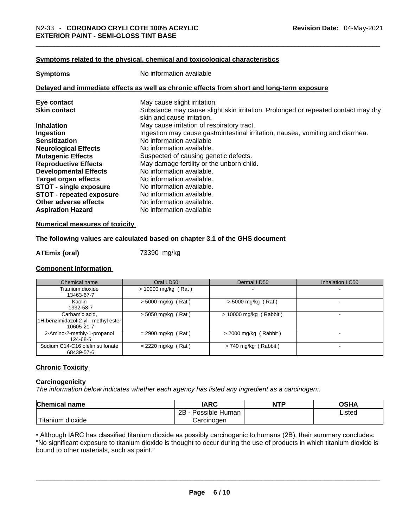#### **Symptoms related to the physical,chemical and toxicological characteristics**

| <b>Symptoms</b>                                                                            | No information available                                                                                        |  |  |  |
|--------------------------------------------------------------------------------------------|-----------------------------------------------------------------------------------------------------------------|--|--|--|
| Delayed and immediate effects as well as chronic effects from short and long-term exposure |                                                                                                                 |  |  |  |
| Eye contact                                                                                | May cause slight irritation.                                                                                    |  |  |  |
| <b>Skin contact</b>                                                                        | Substance may cause slight skin irritation. Prolonged or repeated contact may dry<br>skin and cause irritation. |  |  |  |
| <b>Inhalation</b>                                                                          | May cause irritation of respiratory tract.                                                                      |  |  |  |
| Ingestion                                                                                  | Ingestion may cause gastrointestinal irritation, nausea, vomiting and diarrhea.                                 |  |  |  |
| <b>Sensitization</b>                                                                       | No information available                                                                                        |  |  |  |
| <b>Neurological Effects</b>                                                                | No information available.                                                                                       |  |  |  |
| <b>Mutagenic Effects</b>                                                                   | Suspected of causing genetic defects.                                                                           |  |  |  |
| <b>Reproductive Effects</b>                                                                | May damage fertility or the unborn child.                                                                       |  |  |  |
| <b>Developmental Effects</b>                                                               | No information available.                                                                                       |  |  |  |
| <b>Target organ effects</b>                                                                | No information available.                                                                                       |  |  |  |
| <b>STOT - single exposure</b>                                                              | No information available.                                                                                       |  |  |  |
| <b>STOT - repeated exposure</b>                                                            | No information available.                                                                                       |  |  |  |
| Other adverse effects                                                                      | No information available.                                                                                       |  |  |  |
| <b>Aspiration Hazard</b>                                                                   | No information available                                                                                        |  |  |  |

#### **Numerical measures of toxicity**

#### **The following values are calculated based on chapter 3.1 of the GHS document**

**ATEmix (oral)** 73390 mg/kg

#### **Component Information**

| Chemical name                                                       | Oral LD50             | Dermal LD50              | <b>Inhalation LC50</b>   |
|---------------------------------------------------------------------|-----------------------|--------------------------|--------------------------|
| Titanium dioxide<br>13463-67-7                                      | $> 10000$ mg/kg (Rat) |                          |                          |
| Kaolin<br>1332-58-7                                                 | $>$ 5000 mg/kg (Rat)  | $>$ 5000 mg/kg (Rat)     | $\overline{\phantom{0}}$ |
| Carbamic acid,<br>1H-benzimidazol-2-yl-, methyl ester<br>10605-21-7 | $>$ 5050 mg/kg (Rat)  | $> 10000$ mg/kg (Rabbit) | $\overline{\phantom{a}}$ |
| 2-Amino-2-methly-1-propanol<br>124-68-5                             | $= 2900$ mg/kg (Rat)  | $>$ 2000 mg/kg (Rabbit)  |                          |
| Sodium C14-C16 olefin sulfonate<br>68439-57-6                       | $= 2220$ mg/kg (Rat)  | $> 740$ mg/kg (Rabbit)   |                          |

#### **Chronic Toxicity**

#### **Carcinogenicity**

*The information below indicates whether each agency has listed any ingredient as a carcinogen:.* 

| <b>Chemical name</b>                | IARC                 | <b>NTP</b> | OSHA   |
|-------------------------------------|----------------------|------------|--------|
|                                     | Possible Human<br>2B |            | ∟isted |
| <u>— на</u><br>dioxide<br>l itanium | Carcinoɑen           |            |        |

• Although IARC has classified titanium dioxide as possibly carcinogenic to humans (2B), their summary concludes: "No significant exposure to titanium dioxide is thought to occur during the use of products in which titanium dioxide is<br>bound to other materials, such as paint." bound to other materials, such as paint." \_\_\_\_\_\_\_\_\_\_\_\_\_\_\_\_\_\_\_\_\_\_\_\_\_\_\_\_\_\_\_\_\_\_\_\_\_\_\_\_\_\_\_\_\_\_\_\_\_\_\_\_\_\_\_\_\_\_\_\_\_\_\_\_\_\_\_\_\_\_\_\_\_\_\_\_\_\_\_\_\_\_\_\_\_\_\_\_\_\_\_\_\_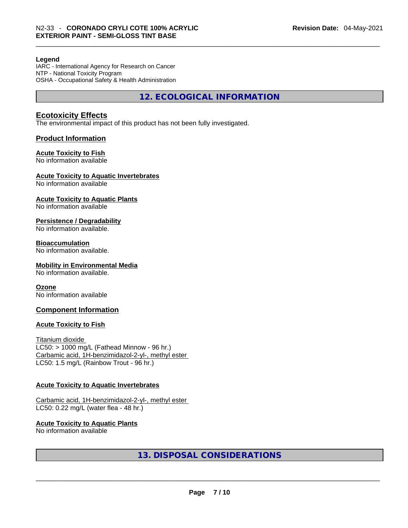#### **Legend**

IARC - International Agency for Research on Cancer NTP - National Toxicity Program OSHA - Occupational Safety & Health Administration

**12. ECOLOGICAL INFORMATION** 

#### **Ecotoxicity Effects**

The environmental impact of this product has not been fully investigated.

#### **Product Information**

#### **Acute Toxicity to Fish**

No information available

#### **Acute Toxicity to Aquatic Invertebrates**

No information available

#### **Acute Toxicity to Aquatic Plants**

No information available

#### **Persistence / Degradability**

No information available.

#### **Bioaccumulation**

No information available.

#### **Mobility in Environmental Media**

No information available.

#### **Ozone**

No information available

#### **Component Information**

#### **Acute Toxicity to Fish**

Titanium dioxide  $LC50:$  > 1000 mg/L (Fathead Minnow - 96 hr.) Carbamic acid, 1H-benzimidazol-2-yl-, methyl ester LC50: 1.5 mg/L (Rainbow Trout - 96 hr.)

#### **Acute Toxicity to Aquatic Invertebrates**

Carbamic acid, 1H-benzimidazol-2-yl-, methyl ester LC50: 0.22 mg/L (water flea - 48 hr.)

## **Acute Toxicity to Aquatic Plants**

# No information available \_\_\_\_\_\_\_\_\_\_\_\_\_\_\_\_\_\_\_\_\_\_\_\_\_\_\_\_\_\_\_\_\_\_\_\_\_\_\_\_\_\_\_\_\_\_\_\_\_\_\_\_\_\_\_\_\_\_\_\_\_\_\_\_\_\_\_\_\_\_\_\_\_\_\_\_\_\_\_\_\_\_\_\_\_\_\_\_\_\_\_\_\_ **13. DISPOSAL CONSIDERATIONS**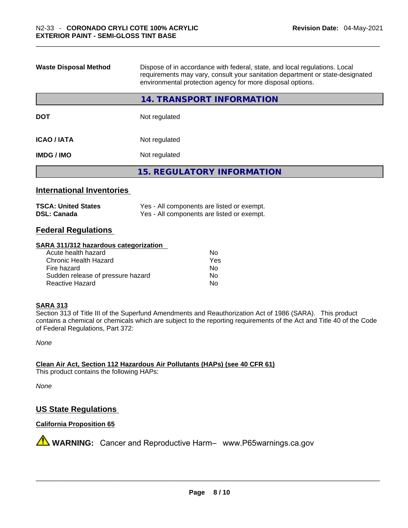| <b>Waste Disposal Method</b> | Dispose of in accordance with federal, state, and local regulations. Local<br>requirements may vary, consult your sanitation department or state-designated<br>environmental protection agency for more disposal options. |  |  |
|------------------------------|---------------------------------------------------------------------------------------------------------------------------------------------------------------------------------------------------------------------------|--|--|
|                              | 14. TRANSPORT INFORMATION                                                                                                                                                                                                 |  |  |
| <b>DOT</b>                   | Not regulated                                                                                                                                                                                                             |  |  |
| <b>ICAO/IATA</b>             | Not regulated                                                                                                                                                                                                             |  |  |
| <b>IMDG/IMO</b>              | Not regulated                                                                                                                                                                                                             |  |  |
|                              | <b>15. REGULATORY INFORMATION</b>                                                                                                                                                                                         |  |  |

#### **International Inventories**

| <b>TSCA: United States</b> | Yes - All components are listed or exempt. |
|----------------------------|--------------------------------------------|
| <b>DSL: Canada</b>         | Yes - All components are listed or exempt. |

#### **Federal Regulations**

#### **SARA 311/312 hazardous categorization**

| Acute health hazard               | No  |  |
|-----------------------------------|-----|--|
| Chronic Health Hazard             | Yes |  |
| Fire hazard                       | Nο  |  |
| Sudden release of pressure hazard | Nο  |  |
| Reactive Hazard                   | Nο  |  |

#### **SARA 313**

Section 313 of Title III of the Superfund Amendments and Reauthorization Act of 1986 (SARA). This product contains a chemical or chemicals which are subject to the reporting requirements of the Act and Title 40 of the Code of Federal Regulations, Part 372:

*None*

**Clean Air Act,Section 112 Hazardous Air Pollutants (HAPs) (see 40 CFR 61)** This product contains the following HAPs:

*None*

#### **US State Regulations**

#### **California Proposition 65**

**AVIMARNING:** Cancer and Reproductive Harm– www.P65warnings.ca.gov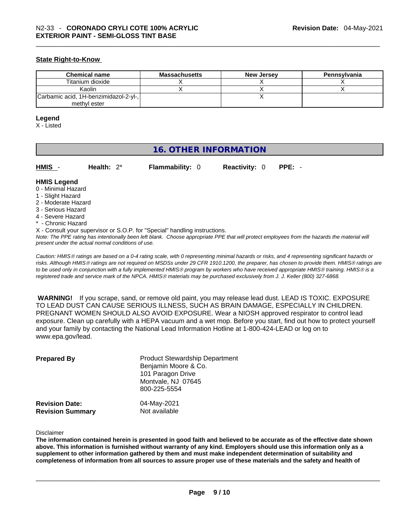#### **State Right-to-Know**

| <b>Chemical name</b>                  | Massachusetts | <b>New Jersey</b> | Pennsylvania |
|---------------------------------------|---------------|-------------------|--------------|
| Titanium dioxide                      |               |                   |              |
| Kaolin                                |               |                   |              |
| Carbamic acid, 1H-benzimidazol-2-yl-, |               |                   |              |
| methyl ester                          |               |                   |              |

#### **Legend**

X - Listed

### **16. OTHER INFORMATION**

**HMIS** - **Health:** 2\* **Flammability:** 0 **Reactivity:** 0 **PPE:** -

#### **HMIS Legend**

- 0 Minimal Hazard
- 1 Slight Hazard
- 2 Moderate Hazard
- 3 Serious Hazard
- 4 Severe Hazard
- \* Chronic Hazard
- X Consult your supervisor or S.O.P. for "Special" handling instructions.

Note: The PPE rating has intentionally been left blank. Choose appropriate PPE that will protect employees from the hazards the material will *present under the actual normal conditions of use.* 

*Caution: HMISÒ ratings are based on a 0-4 rating scale, with 0 representing minimal hazards or risks, and 4 representing significant hazards or risks. Although HMISÒ ratings are not required on MSDSs under 29 CFR 1910.1200, the preparer, has chosen to provide them. HMISÒ ratings are to be used only in conjunction with a fully implemented HMISÒ program by workers who have received appropriate HMISÒ training. HMISÒ is a registered trade and service mark of the NPCA. HMISÒ materials may be purchased exclusively from J. J. Keller (800) 327-6868.* 

 **WARNING!** If you scrape, sand, or remove old paint, you may release lead dust. LEAD IS TOXIC. EXPOSURE TO LEAD DUST CAN CAUSE SERIOUS ILLNESS, SUCH AS BRAIN DAMAGE, ESPECIALLY IN CHILDREN. PREGNANT WOMEN SHOULD ALSO AVOID EXPOSURE.Wear a NIOSH approved respirator to control lead exposure. Clean up carefully with a HEPA vacuum and a wet mop. Before you start, find out how to protect yourself and your family by contacting the National Lead Information Hotline at 1-800-424-LEAD or log on to www.epa.gov/lead.

| <b>Prepared By</b>                               | <b>Product Stewardship Department</b><br>Benjamin Moore & Co.<br>101 Paragon Drive<br>Montvale, NJ 07645<br>800-225-5554 |  |
|--------------------------------------------------|--------------------------------------------------------------------------------------------------------------------------|--|
| <b>Revision Date:</b><br><b>Revision Summary</b> | 04-May-2021<br>Not available                                                                                             |  |

Disclaimer

The information contained herein is presented in good faith and believed to be accurate as of the effective date shown above. This information is furnished without warranty of any kind. Employers should use this information only as a **supplement to other information gathered by them and must make independent determination of suitability and** completeness of information from all sources to assure proper use of these materials and the safety and health of